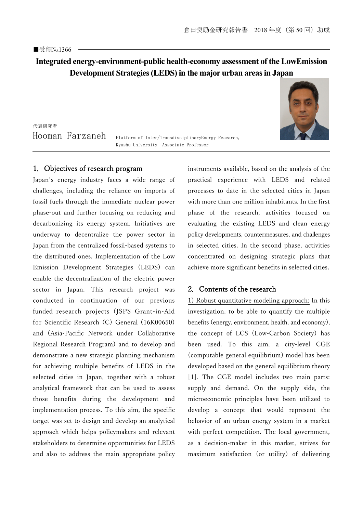# **Integrated energy-environment-public health-economy assessment of the LowEmission Development Strategies (LEDS) in the major urban areas in Japan**

代表研究者 Hooman Farzaneh

Platform of Inter/TransdisciplinaryEnergy Research, Kyushu University Associate Professor

#### 1.Objectives of research program

Japan's energy industry faces a wide range of challenges, including the reliance on imports of fossil fuels through the immediate nuclear power phase-out and further focusing on reducing and decarbonizing its energy system. Initiatives are underway to decentralize the power sector in Japan from the centralized fossil-based systems to the distributed ones. Implementation of the Low Emission Development Strategies (LEDS) can enable the decentralization of the electric power sector in Japan. This research project was conducted in continuation of our previous funded research projects (JSPS Grant-in-Aid for Scientific Research (C) General (16K00650) and (Asia-Pacific Network under Collaborative Regional Research Program) and to develop and demonstrate a new strategic planning mechanism for achieving multiple benefits of LEDS in the selected cities in Japan, together with a robust analytical framework that can be used to assess those benefits during the development and implementation process. To this aim, the specific target was set to design and develop an analytical approach which helps policymakers and relevant stakeholders to determine opportunities for LEDS and also to address the main appropriate policy instruments available, based on the analysis of the practical experience with LEDS and related processes to date in the selected cities in Japan with more than one million inhabitants. In the first phase of the research, activities focused on evaluating the existing LEDS and clean energy policy developments, countermeasures, and challenges in selected cities. In the second phase, activities concentrated on designing strategic plans that achieve more significant benefits in selected cities.

### 2.Contents of the research

1) Robust quantitative modeling approach: In this investigation, to be able to quantify the multiple benefits (energy, environment, health, and economy), the concept of LCS (Low-Carbon Society) has been used. To this aim, a city-level CGE (computable general equilibrium) model has been developed based on the general equilibrium theory [1]. The CGE model includes two main parts: supply and demand. On the supply side, the microeconomic principles have been utilized to develop a concept that would represent the behavior of an urban energy system in a market with perfect competition. The local government, as a decision-maker in this market, strives for maximum satisfaction (or utility) of delivering

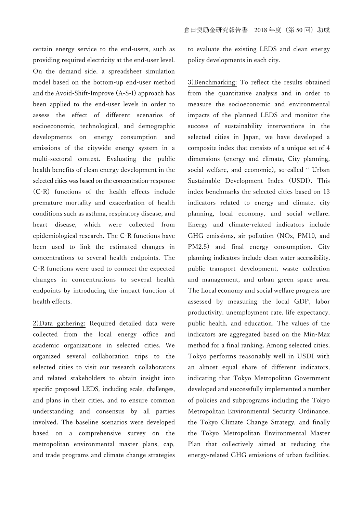certain energy service to the end-users, such as providing required electricity at the end-user level. On the demand side, a spreadsheet simulation model based on the bottom-up end-user method and the Avoid-Shift-Improve (A-S-I) approach has been applied to the end-user levels in order to assess the effect of different scenarios of socioeconomic, technological, and demographic developments on energy consumption and emissions of the citywide energy system in a multi-sectoral context. Evaluating the public health benefits of clean energy development in the selected cities was based on the concentration-response (C-R) functions of the health effects include premature mortality and exacerbation of health conditions such as asthma, respiratory disease, and heart disease, which were collected from epidemiological research. The C-R functions have been used to link the estimated changes in concentrations to several health endpoints. The C-R functions were used to connect the expected changes in concentrations to several health endpoints by introducing the impact function of health effects.

2)Data gathering: Required detailed data were collected from the local energy office and academic organizations in selected cities. We organized several collaboration trips to the selected cities to visit our research collaborators and related stakeholders to obtain insight into specific proposed LEDS, including scale, challenges, and plans in their cities, and to ensure common understanding and consensus by all parties involved. The baseline scenarios were developed based on a comprehensive survey on the metropolitan environmental master plans, cap, and trade programs and climate change strategies to evaluate the existing LEDS and clean energy policy developments in each city.

3)Benchmarking: To reflect the results obtained from the quantitative analysis and in order to measure the socioeconomic and environmental impacts of the planned LEDS and monitor the success of sustainability interventions in the selected cities in Japan, we have developed a composite index that consists of a unique set of 4 dimensions (energy and climate, City planning, social welfare, and economic), so-called " Urban Sustainable Development Index (USDI). This index benchmarks the selected cities based on 13 indicators related to energy and climate, city planning, local economy, and social welfare. Energy and climate-related indicators include GHG emissions, air pollution (NOx, PM10, and PM2.5) and final energy consumption. City planning indicators include clean water accessibility, public transport development, waste collection and management, and urban green space area. The Local economy and social welfare progress are assessed by measuring the local GDP, labor productivity, unemployment rate, life expectancy, public health, and education. The values of the indicators are aggregated based on the Min-Max method for a final ranking. Among selected cities, Tokyo performs reasonably well in USDI with an almost equal share of different indicators, indicating that Tokyo Metropolitan Government developed and successfully implemented a number of policies and subprograms including the Tokyo Metropolitan Environmental Security Ordinance, the Tokyo Climate Change Strategy, and finally the Tokyo Metropolitan Environmental Master Plan that collectively aimed at reducing the energy-related GHG emissions of urban facilities.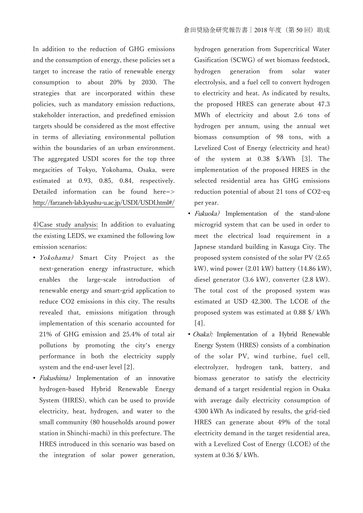In addition to the reduction of GHG emissions and the consumption of energy, these policies set a target to increase the ratio of renewable energy consumption to about 20% by 2030. The strategies that are incorporated within these policies, such as mandatory emission reductions, stakeholder interaction, and predefined emission targets should be considered as the most effective in terms of alleviating environmental pollution within the boundaries of an urban environment. The aggregated USDI scores for the top three megacities of Tokyo, Yokohama, Osaka, were estimated at 0.93, 0.85, 0.84, respectively. Detailed information can be found here=> http://farzaneh-lab.kyushu-u.ac.jp/USDI/USDI.html#/

4)Case study analysis: In addition to evaluating the existing LEDS, we examined the following low emission scenarios:

- *Yokohama*) Smart City Project as the next-generation energy infrastructure, which enables the large-scale introduction of renewable energy and smart-grid application to reduce CO2 emissions in this city. The results revealed that, emissions mitigation through implementation of this scenario accounted for 21% of GHG emission and 25.4% of total air pollutions by promoting the city's energy performance in both the electricity supply system and the end-user level [2].
- Fukushima) Implementation of an innovative hydrogen-based Hybrid Renewable Energy System (HRES), which can be used to provide electricity, heat, hydrogen, and water to the small community (80 households around power station in Shinchi-machi) in this prefecture. The HRES introduced in this scenario was based on the integration of solar power generation,

hydrogen generation from Supercritical Water Gasification (SCWG) of wet biomass feedstock, hydrogen generation from solar water electrolysis, and a fuel cell to convert hydrogen to electricity and heat. As indicated by results, the proposed HRES can generate about 47.3 MWh of electricity and about 2.6 tons of hydrogen per annum, using the annual wet biomass consumption of 98 tons, with a Levelized Cost of Energy (electricity and heat) of the system at 0.38 \$/kWh [3]. The implementation of the proposed HRES in the selected residential area has GHG emissions reduction potential of about 21 tons of CO2-eq per year.

- *Fukuoka*) Implementation of the stand-alone microgrid system that can be used in order to meet the electrical load requirement in a Japnese standard building in Kasuga City. The proposed system consisted of the solar PV (2.65 kW), wind power (2.01 kW) battery (14.86 kW), diesel generator (3.6 kW), converter (2.8 kW). The total cost of the proposed system was estimated at USD 42,300. The LCOE of the proposed system was estimated at 0.88 \$/ kWh [4].
- Osaka): Implementation of a Hybrid Renewable Energy System (HRES) consists of a combination of the solar PV, wind turbine, fuel cell, electrolyzer, hydrogen tank, battery, and biomass generator to satisfy the electricity demand of a target residential region in Osaka with average daily electricity consumption of 4300 kWh As indicated by results, the grid-tied HRES can generate about 49% of the total electricity demand in the target residential area, with a Levelized Cost of Energy (LCOE) of the system at 0.36 \$/ kWh.